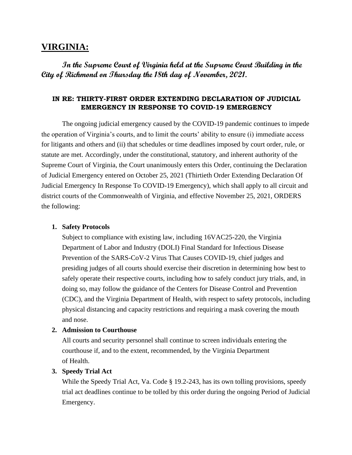# **VIRGINIA:**

**In the Supreme Court of Virginia held at the Supreme Court Building in the City of Richmond on Thursday the 18th day of November, 2021.**

## **IN RE: THIRTY-FIRST ORDER EXTENDING DECLARATION OF JUDICIAL EMERGENCY IN RESPONSE TO COVID-19 EMERGENCY**

The ongoing judicial emergency caused by the COVID-19 pandemic continues to impede the operation of Virginia's courts, and to limit the courts' ability to ensure (i) immediate access for litigants and others and (ii) that schedules or time deadlines imposed by court order, rule, or statute are met. Accordingly, under the constitutional, statutory, and inherent authority of the Supreme Court of Virginia, the Court unanimously enters this Order, continuing the Declaration of Judicial Emergency entered on October 25, 2021 (Thirtieth Order Extending Declaration Of Judicial Emergency In Response To COVID-19 Emergency), which shall apply to all circuit and district courts of the Commonwealth of Virginia, and effective November 25, 2021, ORDERS the following:

#### **1. Safety Protocols**

Subject to compliance with existing law, including 16VAC25-220, the Virginia Department of Labor and Industry (DOLI) Final Standard for Infectious Disease Prevention of the SARS-CoV-2 Virus That Causes COVID-19, chief judges and presiding judges of all courts should exercise their discretion in determining how best to safely operate their respective courts, including how to safely conduct jury trials, and, in doing so, may follow the guidance of the Centers for Disease Control and Prevention (CDC), and the Virginia Department of Health, with respect to safety protocols, including physical distancing and capacity restrictions and requiring a mask covering the mouth and nose.

## **2. Admission to Courthouse**

All courts and security personnel shall continue to screen individuals entering the courthouse if, and to the extent, recommended, by the Virginia Department of Health.

### **3. Speedy Trial Act**

While the Speedy Trial Act, Va. Code § 19.2-243, has its own tolling provisions, speedy trial act deadlines continue to be tolled by this order during the ongoing Period of Judicial Emergency.